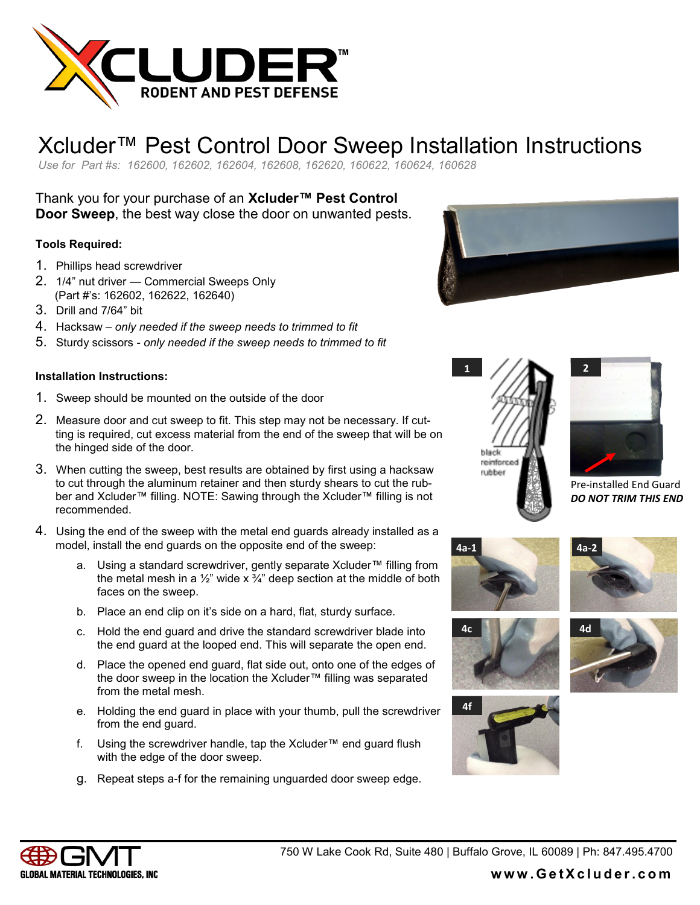

## Xcluder™ Pest Control Door Sweep Installation Instructions

*Use for Part #s: 162600, 162602, 162604, 162608, 162620, 160622, 160624, 160628* 

Thank you for your purchase of an **Xcluder™ Pest Control Door Sweep**, the best way close the door on unwanted pests.

#### **Tools Required:**

- 1. Phillips head screwdriver
- 2. 1/4" nut driver Commercial Sweeps Only (Part #'s: 162602, 162622, 162640)
- 3. Drill and 7/64" bit
- 4. Hacksaw *only needed if the sweep needs to trimmed to fit*
- 5. Sturdy scissors *only needed if the sweep needs to trimmed to fit*

#### **Installation Instructions:**

- 1. Sweep should be mounted on the outside of the door
- 2. Measure door and cut sweep to fit. This step may not be necessary. If cutting is required, cut excess material from the end of the sweep that will be on the hinged side of the door.
- 3. When cutting the sweep, best results are obtained by first using a hacksaw to cut through the aluminum retainer and then sturdy shears to cut the rubber and Xcluder™ filling. NOTE: Sawing through the Xcluder™ filling is not recommended.
- 4. Using the end of the sweep with the metal end guards already installed as a model, install the end guards on the opposite end of the sweep:
	- a. Using a standard screwdriver, gently separate Xcluder™ filling from the metal mesh in a  $\frac{1}{2}$ " wide x  $\frac{3}{4}$ " deep section at the middle of both faces on the sweep.
	- b. Place an end clip on it's side on a hard, flat, sturdy surface.
	- c. Hold the end guard and drive the standard screwdriver blade into the end guard at the looped end. This will separate the open end.
	- d. Place the opened end guard, flat side out, onto one of the edges of the door sweep in the location the Xcluder™ filling was separated from the metal mesh.
	- e. Holding the end guard in place with your thumb, pull the screwdriver from the end guard.
	- f. Using the screwdriver handle, tap the Xcluder™ end guard flush with the edge of the door sweep.
	- g. Repeat steps a-f for the remaining unguarded door sweep edge.







Pre-installed End Guard *DO NOT TRIM THIS END*